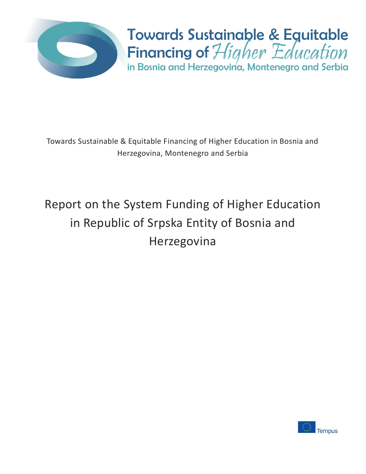

**Towards Sustainable & Equitable** Financing of Higher Education in Bosnia and Herzegovina, Montenegro and Serbia

Towards Sustainable & Equitable Financing of Higher Education in Bosnia and Herzegovina, Montenegro and Serbia

# Report on the System Funding of Higher Education in Republic of Srpska Entity of Bosnia and Herzegovina

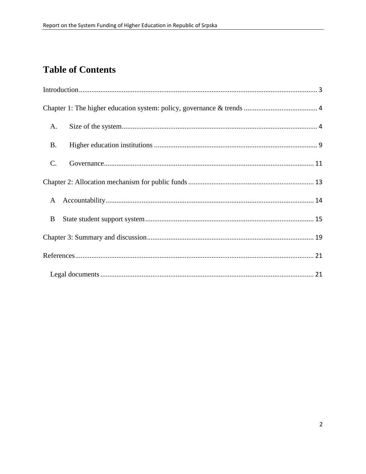# **Table of Contents**

| A.              |  |  |  |  |  |
|-----------------|--|--|--|--|--|
| <b>B.</b>       |  |  |  |  |  |
| $\mathcal{C}$ . |  |  |  |  |  |
|                 |  |  |  |  |  |
| $\mathbf{A}$    |  |  |  |  |  |
| B               |  |  |  |  |  |
|                 |  |  |  |  |  |
|                 |  |  |  |  |  |
|                 |  |  |  |  |  |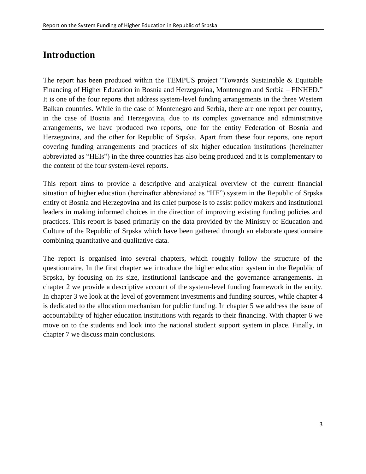## <span id="page-2-0"></span>**Introduction**

The report has been produced within the TEMPUS project "Towards Sustainable & Equitable Financing of Higher Education in Bosnia and Herzegovina, Montenegro and Serbia – FINHED." It is one of the four reports that address system-level funding arrangements in the three Western Balkan countries. While in the case of Montenegro and Serbia, there are one report per country, in the case of Bosnia and Herzegovina, due to its complex governance and administrative arrangements, we have produced two reports, one for the entity Federation of Bosnia and Herzegovina, and the other for Republic of Srpska. Apart from these four reports, one report covering funding arrangements and practices of six higher education institutions (hereinafter abbreviated as "HEIs") in the three countries has also being produced and it is complementary to the content of the four system-level reports.

This report aims to provide a descriptive and analytical overview of the current financial situation of higher education (hereinafter abbreviated as "HE") system in the Republic of Srpska entity of Bosnia and Herzegovina and its chief purpose is to assist policy makers and institutional leaders in making informed choices in the direction of improving existing funding policies and practices. This report is based primarily on the data provided by the Ministry of Education and Culture of the Republic of Srpska which have been gathered through an elaborate questionnaire combining quantitative and qualitative data.

The report is organised into several chapters, which roughly follow the structure of the questionnaire. In the first chapter we introduce the higher education system in the Republic of Srpska, by focusing on its size, institutional landscape and the governance arrangements. In chapter 2 we provide a descriptive account of the system-level funding framework in the entity. In chapter 3 we look at the level of government investments and funding sources, while chapter 4 is dedicated to the allocation mechanism for public funding. In chapter 5 we address the issue of accountability of higher education institutions with regards to their financing. With chapter 6 we move on to the students and look into the national student support system in place. Finally, in chapter 7 we discuss main conclusions.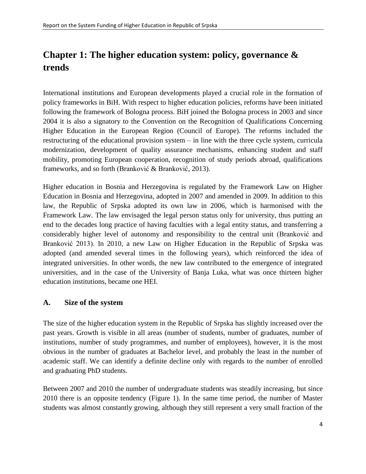# <span id="page-3-0"></span>**Chapter 1: The higher education system: policy, governance & trends**

International institutions and European developments played a crucial role in the formation of policy frameworks in BiH. With respect to higher education policies, reforms have been initiated following the framework of Bologna process. BiH joined the Bologna process in 2003 and since 2004 it is also a signatory to the Convention on the Recognition of Qualifications Concerning Higher Education in the European Region (Council of Europe). The reforms included the restructuring of the educational provision system – in line with the three cycle system, curricula modernization, development of quality assurance mechanisms, enhancing student and staff mobility, promoting European cooperation, recognition of study periods abroad, qualifications frameworks, and so forth (Branković & Branković, 2013).

Higher education in Bosnia and Herzegovina is regulated by the Framework Law on Higher Education in Bosnia and Herzegovina, adopted in 2007 and amended in 2009. In addition to this law, the Republic of Srpska adopted its own law in 2006, which is harmonised with the Framework Law. The law envisaged the legal person status only for university, thus putting an end to the decades long practice of having faculties with a legal entity status, and transferring a considerably higher level of autonomy and responsibility to the central unit (Branković and Branković 2013). In 2010, a new Law on Higher Education in the Republic of Srpska was adopted (and amended several times in the following years), which reinforced the idea of integrated universities. In other words, the new law contributed to the emergence of integrated universities, and in the case of the University of Banja Luka, what was once thirteen higher education institutions, became one HEI.

#### <span id="page-3-1"></span>**A. Size of the system**

The size of the higher education system in the Republic of Srpska has slightly increased over the past years. Growth is visible in all areas (number of students, number of graduates, number of institutions, number of study programmes, and number of employees), however, it is the most obvious in the number of graduates at Bachelor level, and probably the least in the number of academic staff. We can identify a definite decline only with regards to the number of enrolled and graduating PhD students.

Between 2007 and 2010 the number of undergraduate students was steadily increasing, but since 2010 there is an opposite tendency (Figure 1). In the same time period, the number of Master students was almost constantly growing, although they still represent a very small fraction of the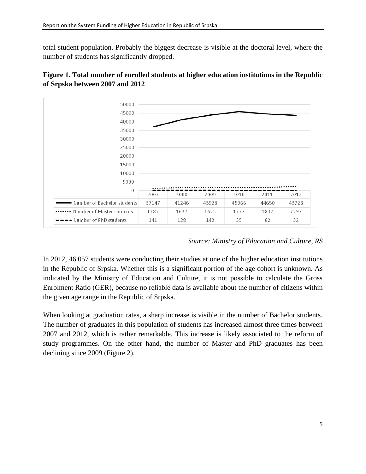total student population. Probably the biggest decrease is visible at the doctoral level, where the number of students has significantly dropped.





#### *Source: Ministry of Education and Culture, RS*

In 2012, 46.057 students were conducting their studies at one of the higher education institutions in the Republic of Srpska. Whether this is a significant portion of the age cohort is unknown. As indicated by the Ministry of Education and Culture, it is not possible to calculate the Gross Enrolment Ratio (GER), because no reliable data is available about the number of citizens within the given age range in the Republic of Srpska.

When looking at graduation rates, a sharp increase is visible in the number of Bachelor students. The number of graduates in this population of students has increased almost three times between 2007 and 2012, which is rather remarkable. This increase is likely associated to the reform of study programmes. On the other hand, the number of Master and PhD graduates has been declining since 2009 (Figure 2).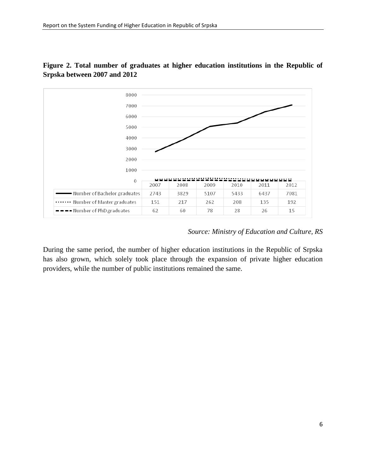

#### **Figure 2. Total number of graduates at higher education institutions in the Republic of Srpska between 2007 and 2012**

#### *Source: Ministry of Education and Culture, RS*

During the same period, the number of higher education institutions in the Republic of Srpska has also grown, which solely took place through the expansion of private higher education providers, while the number of public institutions remained the same.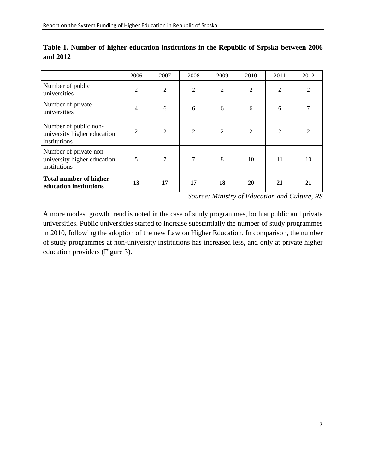$\overline{a}$ 

|                                                                       | 2006           | 2007           | 2008           | 2009 | 2010 | 2011 | 2012           |
|-----------------------------------------------------------------------|----------------|----------------|----------------|------|------|------|----------------|
| Number of public<br>universities                                      | 2              | 2              | 2              | 2    | 2    | 2    |                |
| Number of private<br>universities                                     | 4              | 6              | 6              | 6    | 6    | 6    |                |
| Number of public non-<br>university higher education<br>institutions  | $\overline{2}$ | $\overline{2}$ | $\overline{2}$ | 2    | 2    | 2    | $\mathfrak{D}$ |
| Number of private non-<br>university higher education<br>institutions | 5              | $\tau$         | 7              | 8    | 10   | 11   | 10             |
| <b>Total number of higher</b><br>education institutions               | 13             | 17             | 17             | 18   | 20   | 21   | 21             |

**Table 1. Number of higher education institutions in the Republic of Srpska between 2006 and 2012**

*Source: Ministry of Education and Culture, RS*

A more modest growth trend is noted in the case of study programmes, both at public and private universities. Public universities started to increase substantially the number of study programmes in 2010, following the adoption of the new Law on Higher Education. In comparison, the number of study programmes at non-university institutions has increased less, and only at private higher education providers (Figure 3).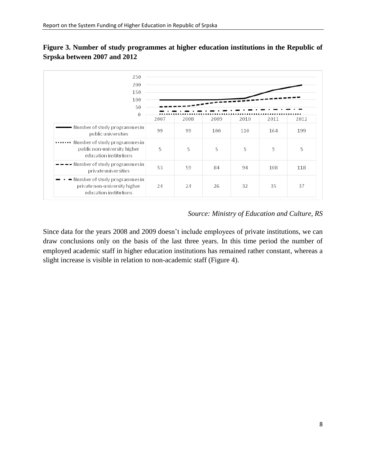

#### **Figure 3. Number of study programmes at higher education institutions in the Republic of Srpska between 2007 and 2012**

#### *Source: Ministry of Education and Culture, RS*

Since data for the years 2008 and 2009 doesn't include employees of private institutions, we can draw conclusions only on the basis of the last three years. In this time period the number of employed academic staff in higher education institutions has remained rather constant, whereas a slight increase is visible in relation to non-academic staff (Figure 4).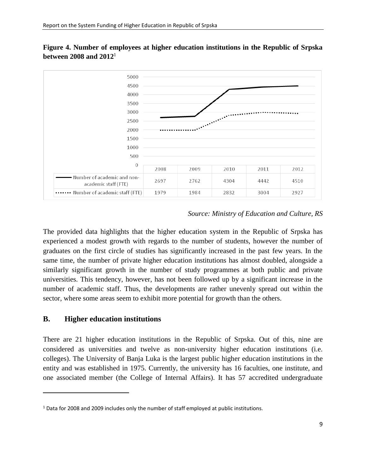

**Figure 4. Number of employees at higher education institutions in the Republic of Srpska between 2008 and 2012**<sup>1</sup>

#### *Source: Ministry of Education and Culture, RS*

The provided data highlights that the higher education system in the Republic of Srpska has experienced a modest growth with regards to the number of students, however the number of graduates on the first circle of studies has significantly increased in the past few years. In the same time, the number of private higher education institutions has almost doubled, alongside a similarly significant growth in the number of study programmes at both public and private universities. This tendency, however, has not been followed up by a significant increase in the number of academic staff. Thus, the developments are rather unevenly spread out within the sector, where some areas seem to exhibit more potential for growth than the others.

#### <span id="page-8-0"></span>**B. Higher education institutions**

 $\overline{a}$ 

There are 21 higher education institutions in the Republic of Srpska. Out of this, nine are considered as universities and twelve as non-university higher education institutions (i.e. colleges). The University of Banja Luka is the largest public higher education institutions in the entity and was established in 1975. Currently, the university has 16 faculties, one institute, and one associated member (the College of Internal Affairs). It has 57 accredited undergraduate

 $1$  Data for 2008 and 2009 includes only the number of staff employed at public institutions.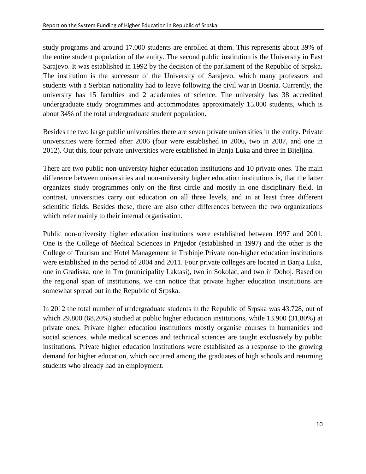study programs and around 17.000 students are enrolled at them. This represents about 39% of the entire student population of the entity. The second public institution is the University in East Sarajevo. It was established in 1992 by the decision of the parliament of the Republic of Srpska. The institution is the successor of the University of Sarajevo, which many professors and students with a Serbian nationality had to leave following the civil war in Bosnia. Currently, the university has 15 faculties and 2 academies of science. The university has 38 accredited undergraduate study programmes and accommodates approximately 15.000 students, which is about 34% of the total undergraduate student population.

Besides the two large public universities there are seven private universities in the entity. Private universities were formed after 2006 (four were established in 2006, two in 2007, and one in 2012). Out this, four private universities were established in Banja Luka and three in Bijeljina.

There are two public non-university higher education institutions and 10 private ones. The main difference between universities and non-university higher education institutions is, that the latter organizes study programmes only on the first circle and mostly in one disciplinary field. In contrast, universities carry out education on all three levels, and in at least three different scientific fields. Besides these, there are also other differences between the two organizations which refer mainly to their internal organisation.

Public non-university higher education institutions were established between 1997 and 2001. One is the College of Medical Sciences in Prijedor (established in 1997) and the other is the College of Tourism and Hotel Management in Trebinje Private non-higher education institutions were established in the period of 2004 and 2011. Four private colleges are located in Banja Luka, one in Gradiska, one in Trn (municipality Laktasi), two in Sokolac, and two in Doboj. Based on the regional span of institutions, we can notice that private higher education institutions are somewhat spread out in the Republic of Srpska.

In 2012 the total number of undergraduate students in the Republic of Srpska was 43.728, out of which 29.800 (68,20%) studied at public higher education institutions, while 13.900 (31,80%) at private ones. Private higher education institutions mostly organise courses in humanities and social sciences, while medical sciences and technical sciences are taught exclusively by public institutions. Private higher education institutions were established as a response to the growing demand for higher education, which occurred among the graduates of high schools and returning students who already had an employment.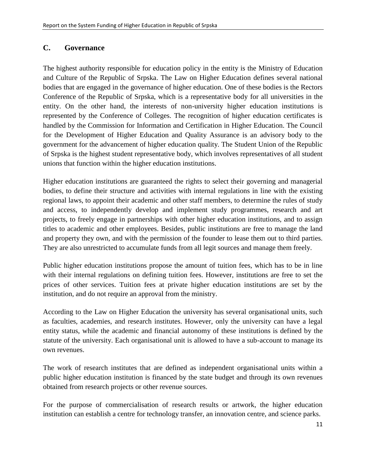#### <span id="page-10-0"></span>**C. Governance**

The highest authority responsible for education policy in the entity is the Ministry of Education and Culture of the Republic of Srpska. The Law on Higher Education defines several national bodies that are engaged in the governance of higher education. One of these bodies is the Rectors Conference of the Republic of Srpska, which is a representative body for all universities in the entity. On the other hand, the interests of non-university higher education institutions is represented by the Conference of Colleges. The recognition of higher education certificates is handled by the Commission for Information and Certification in Higher Education. The Council for the Development of Higher Education and Quality Assurance is an advisory body to the government for the advancement of higher education quality. The Student Union of the Republic of Srpska is the highest student representative body, which involves representatives of all student unions that function within the higher education institutions.

Higher education institutions are guaranteed the rights to select their governing and managerial bodies, to define their structure and activities with internal regulations in line with the existing regional laws, to appoint their academic and other staff members, to determine the rules of study and access, to independently develop and implement study programmes, research and art projects, to freely engage in partnerships with other higher education institutions, and to assign titles to academic and other employees. Besides, public institutions are free to manage the land and property they own, and with the permission of the founder to lease them out to third parties. They are also unrestricted to accumulate funds from all legit sources and manage them freely.

Public higher education institutions propose the amount of tuition fees, which has to be in line with their internal regulations on defining tuition fees. However, institutions are free to set the prices of other services. Tuition fees at private higher education institutions are set by the institution, and do not require an approval from the ministry.

According to the Law on Higher Education the university has several organisational units, such as faculties, academies, and research institutes. However, only the university can have a legal entity status, while the academic and financial autonomy of these institutions is defined by the statute of the university. Each organisational unit is allowed to have a sub-account to manage its own revenues.

The work of research institutes that are defined as independent organisational units within a public higher education institution is financed by the state budget and through its own revenues obtained from research projects or other revenue sources.

For the purpose of commercialisation of research results or artwork, the higher education institution can establish a centre for technology transfer, an innovation centre, and science parks.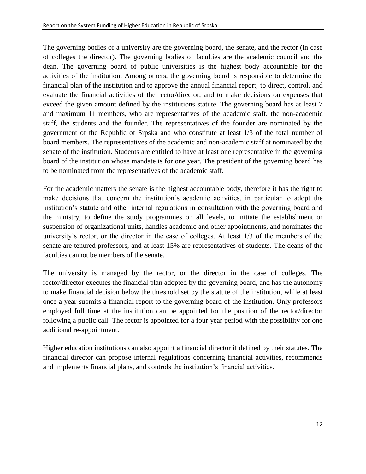The governing bodies of a university are the governing board, the senate, and the rector (in case of colleges the director). The governing bodies of faculties are the academic council and the dean. The governing board of public universities is the highest body accountable for the activities of the institution. Among others, the governing board is responsible to determine the financial plan of the institution and to approve the annual financial report, to direct, control, and evaluate the financial activities of the rector/director, and to make decisions on expenses that exceed the given amount defined by the institutions statute. The governing board has at least 7 and maximum 11 members, who are representatives of the academic staff, the non-academic staff, the students and the founder. The representatives of the founder are nominated by the government of the Republic of Srpska and who constitute at least 1/3 of the total number of board members. The representatives of the academic and non-academic staff at nominated by the senate of the institution. Students are entitled to have at least one representative in the governing board of the institution whose mandate is for one year. The president of the governing board has to be nominated from the representatives of the academic staff.

For the academic matters the senate is the highest accountable body, therefore it has the right to make decisions that concern the institution's academic activities, in particular to adopt the institution's statute and other internal regulations in consultation with the governing board and the ministry, to define the study programmes on all levels, to initiate the establishment or suspension of organizational units, handles academic and other appointments, and nominates the university's rector, or the director in the case of colleges. At least 1/3 of the members of the senate are tenured professors, and at least 15% are representatives of students. The deans of the faculties cannot be members of the senate.

The university is managed by the rector, or the director in the case of colleges. The rector/director executes the financial plan adopted by the governing board, and has the autonomy to make financial decision below the threshold set by the statute of the institution, while at least once a year submits a financial report to the governing board of the institution. Only professors employed full time at the institution can be appointed for the position of the rector/director following a public call. The rector is appointed for a four year period with the possibility for one additional re-appointment.

Higher education institutions can also appoint a financial director if defined by their statutes. The financial director can propose internal regulations concerning financial activities, recommends and implements financial plans, and controls the institution's financial activities.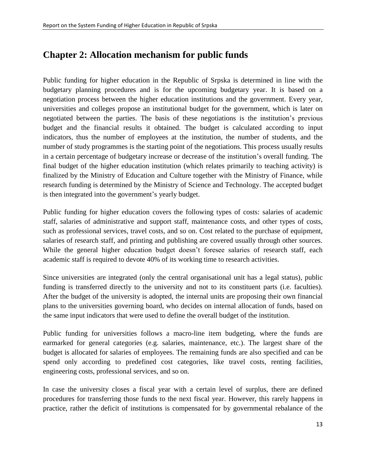## <span id="page-12-0"></span>**Chapter 2: Allocation mechanism for public funds**

Public funding for higher education in the Republic of Srpska is determined in line with the budgetary planning procedures and is for the upcoming budgetary year. It is based on a negotiation process between the higher education institutions and the government. Every year, universities and colleges propose an institutional budget for the government, which is later on negotiated between the parties. The basis of these negotiations is the institution's previous budget and the financial results it obtained. The budget is calculated according to input indicators, thus the number of employees at the institution, the number of students, and the number of study programmes is the starting point of the negotiations. This process usually results in a certain percentage of budgetary increase or decrease of the institution's overall funding. The final budget of the higher education institution (which relates primarily to teaching activity) is finalized by the Ministry of Education and Culture together with the Ministry of Finance, while research funding is determined by the Ministry of Science and Technology. The accepted budget is then integrated into the government's yearly budget.

Public funding for higher education covers the following types of costs: salaries of academic staff, salaries of administrative and support staff, maintenance costs, and other types of costs, such as professional services, travel costs, and so on. Cost related to the purchase of equipment, salaries of research staff, and printing and publishing are covered usually through other sources. While the general higher education budget doesn't foresee salaries of research staff, each academic staff is required to devote 40% of its working time to research activities.

Since universities are integrated (only the central organisational unit has a legal status), public funding is transferred directly to the university and not to its constituent parts (i.e. faculties). After the budget of the university is adopted, the internal units are proposing their own financial plans to the universities governing board, who decides on internal allocation of funds, based on the same input indicators that were used to define the overall budget of the institution.

Public funding for universities follows a macro-line item budgeting, where the funds are earmarked for general categories (e.g. salaries, maintenance, etc.). The largest share of the budget is allocated for salaries of employees. The remaining funds are also specified and can be spend only according to predefined cost categories, like travel costs, renting facilities, engineering costs, professional services, and so on.

In case the university closes a fiscal year with a certain level of surplus, there are defined procedures for transferring those funds to the next fiscal year. However, this rarely happens in practice, rather the deficit of institutions is compensated for by governmental rebalance of the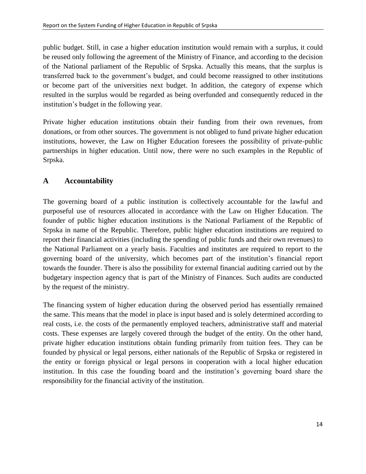public budget. Still, in case a higher education institution would remain with a surplus, it could be reused only following the agreement of the Ministry of Finance, and according to the decision of the National parliament of the Republic of Srpska. Actually this means, that the surplus is transferred back to the government's budget, and could become reassigned to other institutions or become part of the universities next budget. In addition, the category of expense which resulted in the surplus would be regarded as being overfunded and consequently reduced in the institution's budget in the following year.

Private higher education institutions obtain their funding from their own revenues, from donations, or from other sources. The government is not obliged to fund private higher education institutions, however, the Law on Higher Education foresees the possibility of private-public partnerships in higher education. Until now, there were no such examples in the Republic of Srpska.

#### <span id="page-13-0"></span>**A Accountability**

The governing board of a public institution is collectively accountable for the lawful and purposeful use of resources allocated in accordance with the Law on Higher Education. The founder of public higher education institutions is the National Parliament of the Republic of Srpska in name of the Republic. Therefore, public higher education institutions are required to report their financial activities (including the spending of public funds and their own revenues) to the National Parliament on a yearly basis. Faculties and institutes are required to report to the governing board of the university, which becomes part of the institution's financial report towards the founder. There is also the possibility for external financial auditing carried out by the budgetary inspection agency that is part of the Ministry of Finances. Such audits are conducted by the request of the ministry.

The financing system of higher education during the observed period has essentially remained the same. This means that the model in place is input based and is solely determined according to real costs, i.e. the costs of the permanently employed teachers, administrative staff and material costs. These expenses are largely covered through the budget of the entity. On the other hand, private higher education institutions obtain funding primarily from tuition fees. They can be founded by physical or legal persons, either nationals of the Republic of Srpska or registered in the entity or foreign physical or legal persons in cooperation with a local higher education institution. In this case the founding board and the institution's governing board share the responsibility for the financial activity of the institution.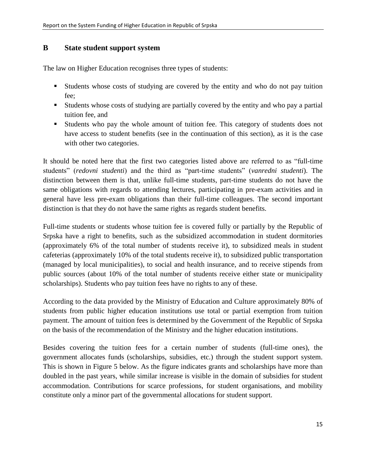#### <span id="page-14-0"></span>**B State student support system**

The law on Higher Education recognises three types of students:

- Students whose costs of studying are covered by the entity and who do not pay tuition fee;
- Students whose costs of studying are partially covered by the entity and who pay a partial tuition fee, and
- Students who pay the whole amount of tuition fee. This category of students does not have access to student benefits (see in the continuation of this section), as it is the case with other two categories.

It should be noted here that the first two categories listed above are referred to as "full-time students" (*redovni studenti*) and the third as "part-time students" (*vanredni studenti*). The distinction between them is that, unlike full-time students, part-time students do not have the same obligations with regards to attending lectures, participating in pre-exam activities and in general have less pre-exam obligations than their full-time colleagues. The second important distinction is that they do not have the same rights as regards student benefits.

Full-time students or students whose tuition fee is covered fully or partially by the Republic of Srpska have a right to benefits, such as the subsidized accommodation in student dormitories (approximately 6% of the total number of students receive it), to subsidized meals in student cafeterias (approximately 10% of the total students receive it), to subsidized public transportation (managed by local municipalities), to social and health insurance, and to receive stipends from public sources (about 10% of the total number of students receive either state or municipality scholarships). Students who pay tuition fees have no rights to any of these.

According to the data provided by the Ministry of Education and Culture approximately 80% of students from public higher education institutions use total or partial exemption from tuition payment. The amount of tuition fees is determined by the Government of the Republic of Srpska on the basis of the recommendation of the Ministry and the higher education institutions.

Besides covering the tuition fees for a certain number of students (full-time ones), the government allocates funds (scholarships, subsidies, etc.) through the student support system. This is shown in Figure 5 below. As the figure indicates grants and scholarships have more than doubled in the past years, while similar increase is visible in the domain of subsidies for student accommodation. Contributions for scarce professions, for student organisations, and mobility constitute only a minor part of the governmental allocations for student support.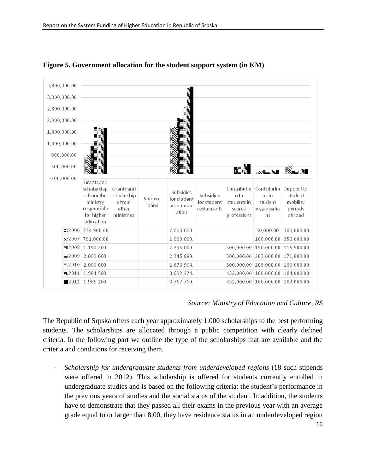

**Figure 5. Government allocation for the student support system (in KM)**

#### *Source: Ministry of Education and Culture, RS*

The Republic of Srpska offers each year approximately 1.000 scholarships to the best performing students. The scholarships are allocated through a public competition with clearly defined criteria. In the following part we outline the type of the scholarships that are available and the criteria and conditions for receiving them.

- *Scholarship for undergraduate students from underdeveloped regions* (18 such stipends were offered in 2012). This scholarship is offered for students currently enrolled in undergraduate studies and is based on the following criteria: the student's performance in the previous years of studies and the social status of the student. In addition, the students have to demonstrate that they passed all their exams in the previous year with an average grade equal to or larger than 8.00, they have residence status in an underdeveloped region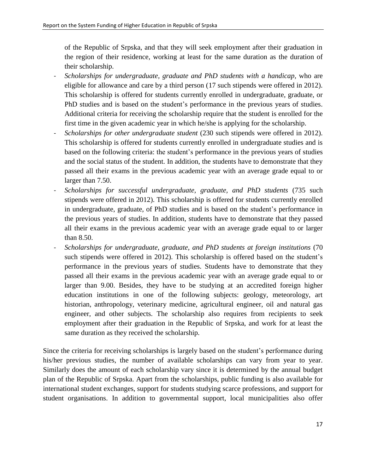of the Republic of Srpska, and that they will seek employment after their graduation in the region of their residence, working at least for the same duration as the duration of their scholarship.

- *Scholarships for undergraduate, graduate and PhD students with a handicap,* who are eligible for allowance and care by a third person (17 such stipends were offered in 2012). This scholarship is offered for students currently enrolled in undergraduate, graduate, or PhD studies and is based on the student's performance in the previous years of studies. Additional criteria for receiving the scholarship require that the student is enrolled for the first time in the given academic year in which he/she is applying for the scholarship.
- *Scholarships for other undergraduate student* (230 such stipends were offered in 2012). This scholarship is offered for students currently enrolled in undergraduate studies and is based on the following criteria: the student's performance in the previous years of studies and the social status of the student. In addition, the students have to demonstrate that they passed all their exams in the previous academic year with an average grade equal to or larger than 7.50.
- *Scholarships for successful undergraduate, graduate, and PhD students* (735 such stipends were offered in 2012). This scholarship is offered for students currently enrolled in undergraduate, graduate, of PhD studies and is based on the student's performance in the previous years of studies. In addition, students have to demonstrate that they passed all their exams in the previous academic year with an average grade equal to or larger than 8.50.
- *Scholarships for undergraduate, graduate, and PhD students at foreign institutions* (70 such stipends were offered in 2012). This scholarship is offered based on the student's performance in the previous years of studies. Students have to demonstrate that they passed all their exams in the previous academic year with an average grade equal to or larger than 9.00. Besides, they have to be studying at an accredited foreign higher education institutions in one of the following subjects: geology, meteorology, art historian, anthropology, veterinary medicine, agricultural engineer, oil and natural gas engineer, and other subjects. The scholarship also requires from recipients to seek employment after their graduation in the Republic of Srpska, and work for at least the same duration as they received the scholarship.

Since the criteria for receiving scholarships is largely based on the student's performance during his/her previous studies, the number of available scholarships can vary from year to year. Similarly does the amount of each scholarship vary since it is determined by the annual budget plan of the Republic of Srpska. Apart from the scholarships, public funding is also available for international student exchanges, support for students studying scarce professions, and support for student organisations. In addition to governmental support, local municipalities also offer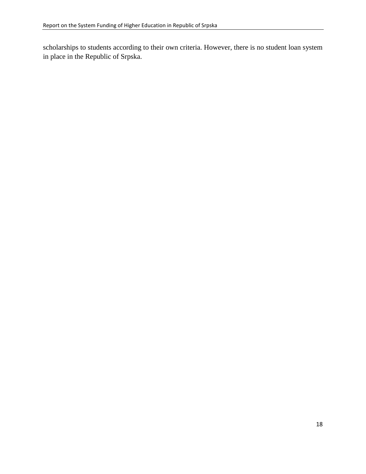scholarships to students according to their own criteria. However, there is no student loan system in place in the Republic of Srpska.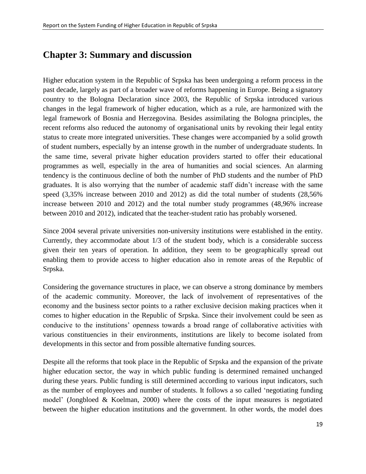### <span id="page-18-0"></span>**Chapter 3: Summary and discussion**

Higher education system in the Republic of Srpska has been undergoing a reform process in the past decade, largely as part of a broader wave of reforms happening in Europe. Being a signatory country to the Bologna Declaration since 2003, the Republic of Srpska introduced various changes in the legal framework of higher education, which as a rule, are harmonized with the legal framework of Bosnia and Herzegovina. Besides assimilating the Bologna principles, the recent reforms also reduced the autonomy of organisational units by revoking their legal entity status to create more integrated universities. These changes were accompanied by a solid growth of student numbers, especially by an intense growth in the number of undergraduate students. In the same time, several private higher education providers started to offer their educational programmes as well, especially in the area of humanities and social sciences. An alarming tendency is the continuous decline of both the number of PhD students and the number of PhD graduates. It is also worrying that the number of academic staff didn't increase with the same speed (3,35% increase between 2010 and 2012) as did the total number of students (28,56% increase between 2010 and 2012) and the total number study programmes (48,96% increase between 2010 and 2012), indicated that the teacher-student ratio has probably worsened.

Since 2004 several private universities non-university institutions were established in the entity. Currently, they accommodate about 1/3 of the student body, which is a considerable success given their ten years of operation. In addition, they seem to be geographically spread out enabling them to provide access to higher education also in remote areas of the Republic of Srpska.

Considering the governance structures in place, we can observe a strong dominance by members of the academic community. Moreover, the lack of involvement of representatives of the economy and the business sector points to a rather exclusive decision making practices when it comes to higher education in the Republic of Srpska. Since their involvement could be seen as conducive to the institutions' openness towards a broad range of collaborative activities with various constituencies in their environments, institutions are likely to become isolated from developments in this sector and from possible alternative funding sources.

Despite all the reforms that took place in the Republic of Srpska and the expansion of the private higher education sector, the way in which public funding is determined remained unchanged during these years. Public funding is still determined according to various input indicators, such as the number of employees and number of students. It follows a so called 'negotiating funding model' (Jongbloed & Koelman, 2000) where the costs of the input measures is negotiated between the higher education institutions and the government. In other words, the model does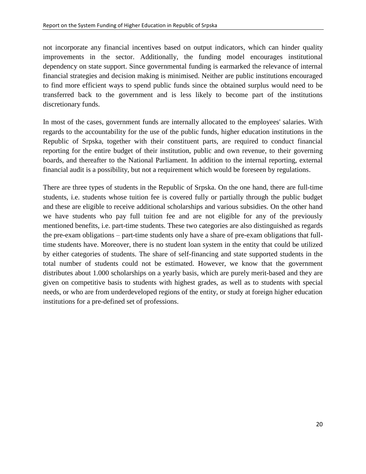not incorporate any financial incentives based on output indicators, which can hinder quality improvements in the sector. Additionally, the funding model encourages institutional dependency on state support. Since governmental funding is earmarked the relevance of internal financial strategies and decision making is minimised. Neither are public institutions encouraged to find more efficient ways to spend public funds since the obtained surplus would need to be transferred back to the government and is less likely to become part of the institutions discretionary funds.

In most of the cases, government funds are internally allocated to the employees' salaries. With regards to the accountability for the use of the public funds, higher education institutions in the Republic of Srpska, together with their constituent parts, are required to conduct financial reporting for the entire budget of their institution, public and own revenue, to their governing boards, and thereafter to the National Parliament. In addition to the internal reporting, external financial audit is a possibility, but not a requirement which would be foreseen by regulations.

There are three types of students in the Republic of Srpska. On the one hand, there are full-time students, i.e. students whose tuition fee is covered fully or partially through the public budget and these are eligible to receive additional scholarships and various subsidies. On the other hand we have students who pay full tuition fee and are not eligible for any of the previously mentioned benefits, i.e. part-time students. These two categories are also distinguished as regards the pre-exam obligations – part-time students only have a share of pre-exam obligations that fulltime students have. Moreover, there is no student loan system in the entity that could be utilized by either categories of students. The share of self-financing and state supported students in the total number of students could not be estimated. However, we know that the government distributes about 1.000 scholarships on a yearly basis, which are purely merit-based and they are given on competitive basis to students with highest grades, as well as to students with special needs, or who are from underdeveloped regions of the entity, or study at foreign higher education institutions for a pre-defined set of professions.